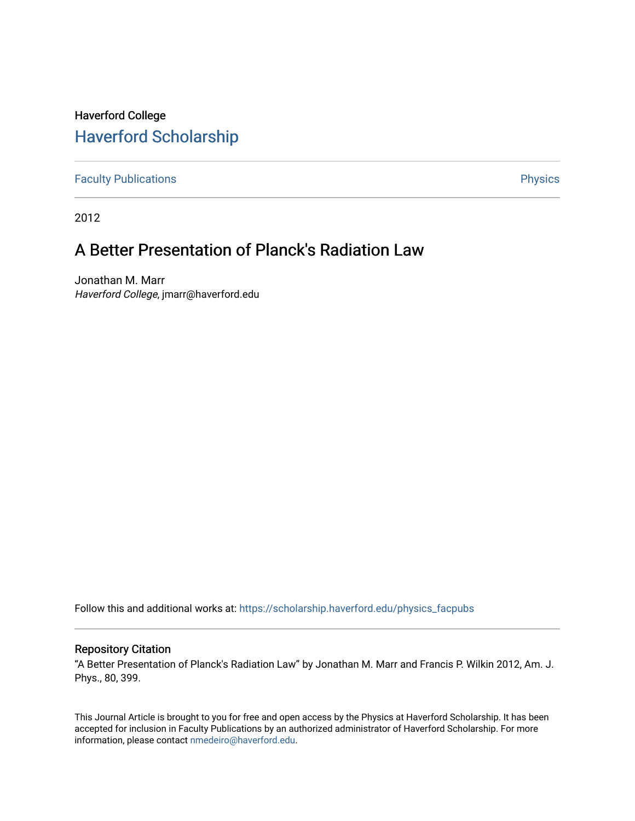# Haverford College [Haverford Scholarship](https://scholarship.haverford.edu/)

[Faculty Publications](https://scholarship.haverford.edu/physics_facpubs) **Physics** 

2012

# A Better Presentation of Planck's Radiation Law

Jonathan M. Marr Haverford College, jmarr@haverford.edu

Follow this and additional works at: [https://scholarship.haverford.edu/physics\\_facpubs](https://scholarship.haverford.edu/physics_facpubs?utm_source=scholarship.haverford.edu%2Fphysics_facpubs%2F581&utm_medium=PDF&utm_campaign=PDFCoverPages) 

## Repository Citation

"A Better Presentation of Planck's Radiation Law" by Jonathan M. Marr and Francis P. Wilkin 2012, Am. J. Phys., 80, 399.

This Journal Article is brought to you for free and open access by the Physics at Haverford Scholarship. It has been accepted for inclusion in Faculty Publications by an authorized administrator of Haverford Scholarship. For more information, please contact [nmedeiro@haverford.edu.](mailto:nmedeiro@haverford.edu)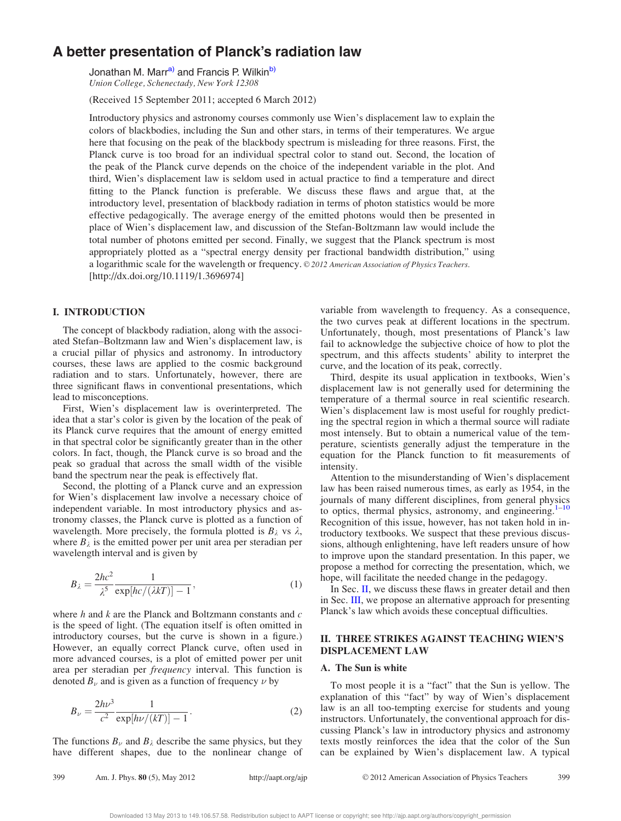# A better presentation of Planck's radiation law

Jonathan M. Marr<sup>[a\)](#page-7-0)</sup> and Francis P. Wilkin<sup>[b\)](#page-7-0)</sup> Union College, Schenectady, New York 12308

(Received 15 September 2011; accepted 6 March 2012)

Introductory physics and astronomy courses commonly use Wien's displacement law to explain the colors of blackbodies, including the Sun and other stars, in terms of their temperatures. We argue here that focusing on the peak of the blackbody spectrum is misleading for three reasons. First, the Planck curve is too broad for an individual spectral color to stand out. Second, the location of the peak of the Planck curve depends on the choice of the independent variable in the plot. And third, Wien's displacement law is seldom used in actual practice to find a temperature and direct fitting to the Planck function is preferable. We discuss these flaws and argue that, at the introductory level, presentation of blackbody radiation in terms of photon statistics would be more effective pedagogically. The average energy of the emitted photons would then be presented in place of Wien's displacement law, and discussion of the Stefan-Boltzmann law would include the total number of photons emitted per second. Finally, we suggest that the Planck spectrum is most appropriately plotted as a "spectral energy density per fractional bandwidth distribution," using a logarithmic scale for the wavelength or frequency. © 2012 American Association of Physics Teachers. [http://dx.doi.org/10.1119/1.3696974]

#### <span id="page-1-1"></span>I. INTRODUCTION

<span id="page-1-0"></span>The concept of blackbody radiation, along with the associated Stefan–Boltzmann law and Wien's displacement law, is a crucial pillar of physics and astronomy. In introductory courses, these laws are applied to the cosmic background radiation and to stars. Unfortunately, however, there are three significant flaws in conventional presentations, which lead to misconceptions.

<span id="page-1-2"></span>First, Wien's displacement law is overinterpreted. The idea that a star's color is given by the location of the peak of its Planck curve requires that the amount of energy emitted in that spectral color be significantly greater than in the other colors. In fact, though, the Planck curve is so broad and the peak so gradual that across the small width of the visible band the spectrum near the peak is effectively flat.

Second, the plotting of a Planck curve and an expression for Wien's displacement law involve a necessary choice of independent variable. In most introductory physics and astronomy classes, the Planck curve is plotted as a function of wavelength. More precisely, the formula plotted is  $B_{\lambda}$  vs  $\lambda$ , where  $B_{\lambda}$  is the emitted power per unit area per steradian per wavelength interval and is given by

$$
B_{\lambda} = \frac{2hc^2}{\lambda^5} \frac{1}{\exp[hc/(\lambda kT)] - 1},\tag{1}
$$

where  $h$  and  $k$  are the Planck and Boltzmann constants and  $c$ is the speed of light. (The equation itself is often omitted in introductory courses, but the curve is shown in a figure.) However, an equally correct Planck curve, often used in more advanced courses, is a plot of emitted power per unit area per steradian per frequency interval. This function is denoted  $B_{\nu}$  and is given as a function of frequency  $\nu$  by

$$
B_{\nu} = \frac{2h\nu^3}{c^2} \frac{1}{\exp[h\nu/(kT)] - 1}.
$$
 (2)

The functions  $B_{\nu}$  and  $B_{\lambda}$  describe the same physics, but they have different shapes, due to the nonlinear change of variable from wavelength to frequency. As a consequence, the two curves peak at different locations in the spectrum. Unfortunately, though, most presentations of Planck's law fail to acknowledge the subjective choice of how to plot the spectrum, and this affects students' ability to interpret the curve, and the location of its peak, correctly.

Third, despite its usual application in textbooks, Wien's displacement law is not generally used for determining the temperature of a thermal source in real scientific research. Wien's displacement law is most useful for roughly predicting the spectral region in which a thermal source will radiate most intensely. But to obtain a numerical value of the temperature, scientists generally adjust the temperature in the equation for the Planck function to fit measurements of intensity.

Attention to the misunderstanding of Wien's displacement law has been raised numerous times, as early as 1954, in the journals of many different disciplines, from general physics to optics, thermal physics, astronomy, and engineering. $1-10$ Recognition of this issue, however, has not taken hold in introductory textbooks. We suspect that these previous discussions, although enlightening, have left readers unsure of how to improve upon the standard presentation. In this paper, we propose a method for correcting the presentation, which, we hope, will facilitate the needed change in the pedagogy.

In Sec. [II](#page-1-0), we discuss these flaws in greater detail and then in Sec. [III,](#page-4-0) we propose an alternative approach for presenting Planck's law which avoids these conceptual difficulties.

### II. THREE STRIKES AGAINST TEACHING WIEN'S DISPLACEMENT LAW

#### A. The Sun is white

To most people it is a "fact" that the Sun is yellow. The explanation of this "fact" by way of Wien's displacement law is an all too-tempting exercise for students and young instructors. Unfortunately, the conventional approach for discussing Planck's law in introductory physics and astronomy texts mostly reinforces the idea that the color of the Sun can be explained by Wien's displacement law. A typical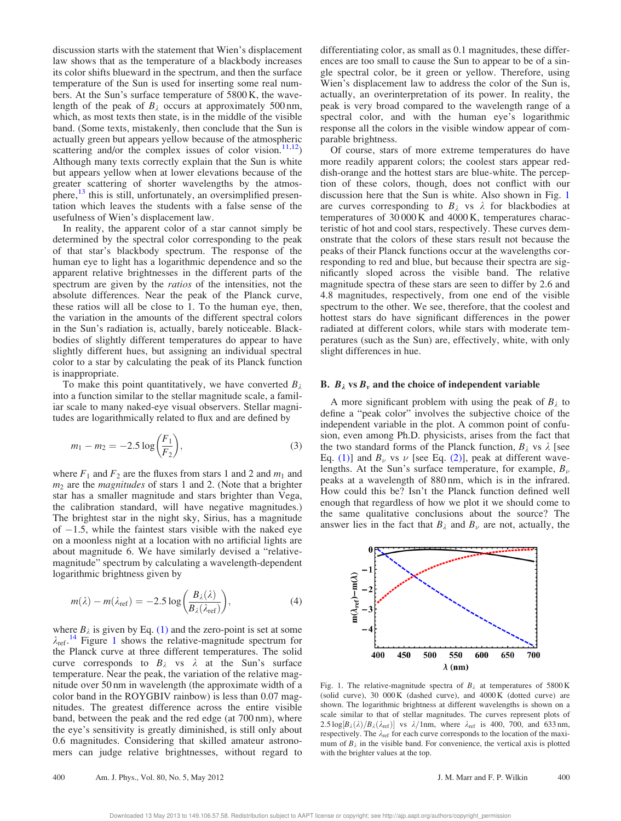<span id="page-2-1"></span>discussion starts with the statement that Wien's displacement law shows that as the temperature of a blackbody increases its color shifts blueward in the spectrum, and then the surface temperature of the Sun is used for inserting some real numbers. At the Sun's surface temperature of 5800 K, the wavelength of the peak of  $B_{\lambda}$  occurs at approximately 500 nm, which, as most texts then state, is in the middle of the visible band. (Some texts, mistakenly, then conclude that the Sun is actually green but appears yellow because of the atmospheric scattering and/or the complex issues of color vision. $11,12$  $11,12$ ) Although many texts correctly explain that the Sun is white but appears yellow when at lower elevations because of the greater scattering of shorter wavelengths by the atmos-phere,<sup>[13](#page-7-4)</sup> this is still, unfortunately, an oversimplified presentation which leaves the students with a false sense of the usefulness of Wien's displacement law.

In reality, the apparent color of a star cannot simply be determined by the spectral color corresponding to the peak of that star's blackbody spectrum. The response of the human eye to light has a logarithmic dependence and so the apparent relative brightnesses in the different parts of the spectrum are given by the *ratios* of the intensities, not the absolute differences. Near the peak of the Planck curve, these ratios will all be close to 1. To the human eye, then, the variation in the amounts of the different spectral colors in the Sun's radiation is, actually, barely noticeable. Blackbodies of slightly different temperatures do appear to have slightly different hues, but assigning an individual spectral color to a star by calculating the peak of its Planck function is inappropriate.

<span id="page-2-0"></span>To make this point quantitatively, we have converted  $B_{\lambda}$ into a function similar to the stellar magnitude scale, a familiar scale to many naked-eye visual observers. Stellar magnitudes are logarithmically related to flux and are defined by

$$
m_1 - m_2 = -2.5 \log \left( \frac{F_1}{F_2} \right),\tag{3}
$$

where  $F_1$  and  $F_2$  are the fluxes from stars 1 and 2 and  $m_1$  and  $m<sub>2</sub>$  are the *magnitudes* of stars 1 and 2. (Note that a brighter star has a smaller magnitude and stars brighter than Vega, the calibration standard, will have negative magnitudes.) The brightest star in the night sky, Sirius, has a magnitude of  $-1.5$ , while the faintest stars visible with the naked eye on a moonless night at a location with no artificial lights are about magnitude 6. We have similarly devised a "relativemagnitude" spectrum by calculating a wavelength-dependent logarithmic brightness given by

$$
m(\lambda) - m(\lambda_{\text{ref}}) = -2.5 \log \left( \frac{B_{\lambda}(\lambda)}{B_{\lambda}(\lambda_{\text{ref}})} \right),\tag{4}
$$

where  $B_{\lambda}$  is given by Eq. [\(1\)](#page-1-1) and the zero-point is set at some  $\lambda_{\text{ref}}$ .<sup>[14](#page-7-5)</sup> Figure [1](#page-2-0) shows the relative-magnitude spectrum for the Planck curve at three different temperatures. The solid curve corresponds to  $B_{\lambda}$  vs  $\lambda$  at the Sun's surface temperature. Near the peak, the variation of the relative magnitude over 50 nm in wavelength (the approximate width of a color band in the ROYGBIV rainbow) is less than 0.07 magnitudes. The greatest difference across the entire visible band, between the peak and the red edge (at 700 nm), where the eye's sensitivity is greatly diminished, is still only about 0.6 magnitudes. Considering that skilled amateur astronomers can judge relative brightnesses, without regard to

differentiating color, as small as 0.1 magnitudes, these differences are too small to cause the Sun to appear to be of a single spectral color, be it green or yellow. Therefore, using Wien's displacement law to address the color of the Sun is, actually, an overinterpretation of its power. In reality, the peak is very broad compared to the wavelength range of a spectral color, and with the human eye's logarithmic response all the colors in the visible window appear of comparable brightness.

Of course, stars of more extreme temperatures do have more readily apparent colors; the coolest stars appear reddish-orange and the hottest stars are blue-white. The perception of these colors, though, does not conflict with our discussion here that the Sun is white. Also shown in Fig. [1](#page-2-0) are curves corresponding to  $B_{\lambda}$  vs  $\lambda$  for blackbodies at temperatures of 30 000 K and 4000 K, temperatures characteristic of hot and cool stars, respectively. These curves demonstrate that the colors of these stars result not because the peaks of their Planck functions occur at the wavelengths corresponding to red and blue, but because their spectra are significantly sloped across the visible band. The relative magnitude spectra of these stars are seen to differ by 2.6 and 4.8 magnitudes, respectively, from one end of the visible spectrum to the other. We see, therefore, that the coolest and hottest stars do have significant differences in the power radiated at different colors, while stars with moderate temperatures (such as the Sun) are, effectively, white, with only slight differences in hue.

#### B.  $B_{\lambda}$  vs  $B_{\nu}$  and the choice of independent variable

A more significant problem with using the peak of  $B_{\lambda}$  to define a "peak color" involves the subjective choice of the independent variable in the plot. A common point of confusion, even among Ph.D. physicists, arises from the fact that the two standard forms of the Planck function,  $B_{\lambda}$  vs  $\lambda$  [see Eq. [\(1\)](#page-1-1)] and  $B_{\nu}$  vs  $\nu$  [see Eq. [\(2\)\]](#page-1-2), peak at different wavelengths. At the Sun's surface temperature, for example,  $B_{\nu}$ peaks at a wavelength of 880 nm, which is in the infrared. How could this be? Isn't the Planck function defined well enough that regardless of how we plot it we should come to the same qualitative conclusions about the source? The answer lies in the fact that  $B_\lambda$  and  $B_\nu$  are not, actually, the



Fig. 1. The relative-magnitude spectra of  $B_{\lambda}$  at temperatures of 5800 K (solid curve),  $30\,000\,\text{K}$  (dashed curve), and  $4000\,\text{K}$  (dotted curve) are shown. The logarithmic brightness at different wavelengths is shown on a scale similar to that of stellar magnitudes. The curves represent plots of  $2.5 \log[B_{\lambda}(\lambda)/B_{\lambda}(\lambda_{\text{ref}})]$  vs  $\lambda/1$ nm, where  $\lambda_{\text{ref}}$  is 400, 700, and 633 nm, respectively. The  $\lambda_{ref}$  for each curve corresponds to the location of the maximum of  $B_{\lambda}$  in the visible band. For convenience, the vertical axis is plotted with the brighter values at the top.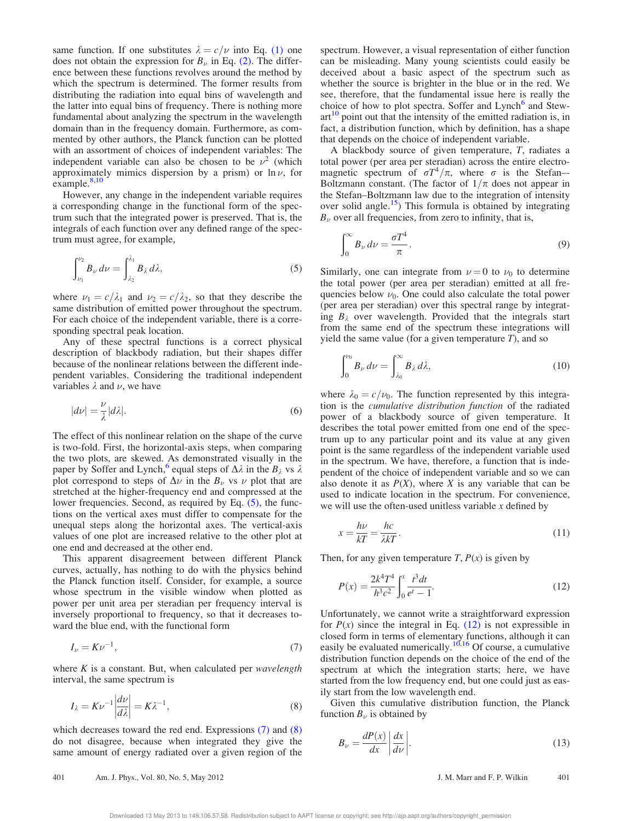<span id="page-3-6"></span><span id="page-3-5"></span><span id="page-3-0"></span>same function. If one substitutes  $\lambda = c/\nu$  into Eq. [\(1\)](#page-1-1) one does not obtain the expression for  $B_{\nu}$  in Eq. [\(2\).](#page-1-2) The difference between these functions revolves around the method by which the spectrum is determined. The former results from distributing the radiation into equal bins of wavelength and the latter into equal bins of frequency. There is nothing more fundamental about analyzing the spectrum in the wavelength domain than in the frequency domain. Furthermore, as commented by other authors, the Planck function can be plotted with an assortment of choices of independent variables: The independent variable can also be chosen to be  $\nu^2$  (which approximately mimics dispersion by a prism) or  $\ln \nu$ , for example. $8,1$ 

<span id="page-3-7"></span>However, any change in the independent variable requires a corresponding change in the functional form of the spectrum such that the integrated power is preserved. That is, the integrals of each function over any defined range of the spectrum must agree, for example,

$$
\int_{\nu_1}^{\nu_2} B_{\nu} d\nu = \int_{\lambda_2}^{\lambda_1} B_{\lambda} d\lambda, \tag{5}
$$

<span id="page-3-3"></span>where  $\nu_1 = c/\lambda_1$  and  $\nu_2 = c/\lambda_2$ , so that they describe the same distribution of emitted power throughout the spectrum. For each choice of the independent variable, there is a corresponding spectral peak location.

<span id="page-3-1"></span>Any of these spectral functions is a correct physical description of blackbody radiation, but their shapes differ because of the nonlinear relations between the different independent variables. Considering the traditional independent variables  $\lambda$  and  $\nu$ , we have

$$
|d\nu| = \frac{\nu}{\lambda} |d\lambda|.
$$
 (6)

<span id="page-3-4"></span><span id="page-3-2"></span>The effect of this nonlinear relation on the shape of the curve is two-fold. First, the horizontal-axis steps, when comparing the two plots, are skewed. As demonstrated visually in the paper by Soffer and Lynch,<sup>[6](#page-7-1)</sup> equal steps of  $\Delta \lambda$  in the  $B_{\lambda}$  vs  $\lambda$ plot correspond to steps of  $\Delta \nu$  in the  $B_{\nu}$  vs  $\nu$  plot that are stretched at the higher-frequency end and compressed at the lower frequencies. Second, as required by Eq. [\(5\),](#page-3-0) the functions on the vertical axes must differ to compensate for the unequal steps along the horizontal axes. The vertical-axis values of one plot are increased relative to the other plot at one end and decreased at the other end.

This apparent disagreement between different Planck curves, actually, has nothing to do with the physics behind the Planck function itself. Consider, for example, a source whose spectrum in the visible window when plotted as power per unit area per steradian per frequency interval is inversely proportional to frequency, so that it decreases toward the blue end, with the functional form

$$
I_{\nu} = K\nu^{-1},\tag{7}
$$

where  $K$  is a constant. But, when calculated per *wavelength* interval, the same spectrum is

$$
I_{\lambda} = K\nu^{-1} \left| \frac{d\nu}{d\lambda} \right| = K\lambda^{-1},\tag{8}
$$

which decreases toward the red end. Expressions [\(7\)](#page-3-1) and [\(8\)](#page-3-2) do not disagree, because when integrated they give the same amount of energy radiated over a given region of the

spectrum. However, a visual representation of either function can be misleading. Many young scientists could easily be deceived about a basic aspect of the spectrum such as whether the source is brighter in the blue or in the red. We see, therefore, that the fundamental issue here is really the choice of how to plot spectra. Soffer and Lynch<sup>[6](#page-7-1)</sup> and Stew- $art<sup>10</sup>$  $art<sup>10</sup>$  $art<sup>10</sup>$  point out that the intensity of the emitted radiation is, in fact, a distribution function, which by definition, has a shape that depends on the choice of independent variable.

A blackbody source of given temperature, T, radiates a total power (per area per steradian) across the entire electromagnetic spectrum of  $\sigma T^4/\pi$ , where  $\sigma$  is the Stefan–-Boltzmann constant. (The factor of  $1/\pi$  does not appear in the Stefan–Boltzmann law due to the integration of intensity over solid angle.<sup>[15](#page-7-6)</sup>) This formula is obtained by integrating  $B_{\nu}$  over all frequencies, from zero to infinity, that is,

$$
\int_0^\infty B_\nu \, d\nu = \frac{\sigma T^4}{\pi}.\tag{9}
$$

Similarly, one can integrate from  $\nu = 0$  to  $\nu_0$  to determine the total power (per area per steradian) emitted at all frequencies below  $\nu_0$ . One could also calculate the total power (per area per steradian) over this spectral range by integrating  $B_{\lambda}$  over wavelength. Provided that the integrals start from the same end of the spectrum these integrations will yield the same value (for a given temperature  $T$ ), and so

$$
\int_0^{\nu_0} B_{\nu} d\nu = \int_{\lambda_0}^{\infty} B_{\lambda} d\lambda, \qquad (10)
$$

where  $\lambda_0 = c/\nu_0$ . The function represented by this integration is the cumulative distribution function of the radiated power of a blackbody source of given temperature. It describes the total power emitted from one end of the spectrum up to any particular point and its value at any given point is the same regardless of the independent variable used in the spectrum. We have, therefore, a function that is independent of the choice of independent variable and so we can also denote it as  $P(X)$ , where X is any variable that can be used to indicate location in the spectrum. For convenience, we will use the often-used unitless variable  $x$  defined by

$$
x = \frac{h\nu}{kT} = \frac{hc}{\lambda kT}.
$$
\n(11)

Then, for any given temperature T,  $P(x)$  is given by

$$
P(x) = \frac{2k^4T^4}{h^3c^2} \int_0^x \frac{t^3dt}{e^t - 1}.
$$
 (12)

Unfortunately, we cannot write a straightforward expression for  $P(x)$  since the integral in Eq. [\(12\)](#page-3-3) is not expressible in closed form in terms of elementary functions, although it can easily be evaluated numerically.<sup>[10,](#page-7-1)[16](#page-7-7)</sup> Of course, a cumulative distribution function depends on the choice of the end of the spectrum at which the integration starts; here, we have started from the low frequency end, but one could just as easily start from the low wavelength end.

Given this cumulative distribution function, the Planck function  $B_{\nu}$  is obtained by

$$
B_{\nu} = \frac{dP(x)}{dx} \left| \frac{dx}{d\nu} \right|.
$$
 (13)

401 Am. J. Phys., Vol. 80, No. 5, May 2012 **J. M. Marr and F. P. Wilkin** 401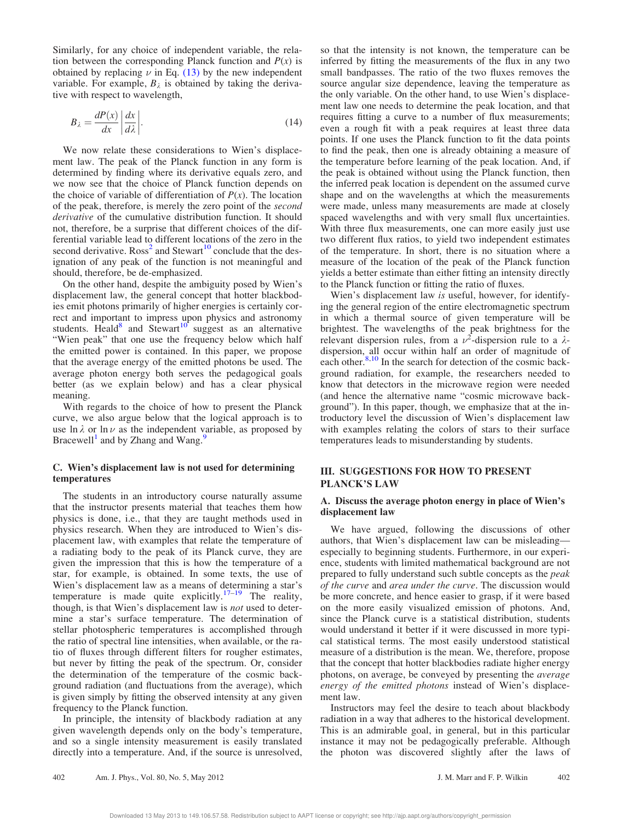<span id="page-4-1"></span>Similarly, for any choice of independent variable, the relation between the corresponding Planck function and  $P(x)$  is obtained by replacing  $\nu$  in Eq. [\(13\)](#page-3-4) by the new independent variable. For example,  $B_{\lambda}$  is obtained by taking the derivative with respect to wavelength,

$$
B_{\lambda} = \frac{dP(x)}{dx} \left| \frac{dx}{d\lambda} \right|.
$$
 (14)

<span id="page-4-0"></span>We now relate these considerations to Wien's displacement law. The peak of the Planck function in any form is determined by finding where its derivative equals zero, and we now see that the choice of Planck function depends on the choice of variable of differentiation of  $P(x)$ . The location of the peak, therefore, is merely the zero point of the second derivative of the cumulative distribution function. It should not, therefore, be a surprise that different choices of the differential variable lead to different locations of the zero in the second derivative. Ross<sup>[2](#page-7-1)</sup> and Stewart<sup>[10](#page-7-1)</sup> conclude that the designation of any peak of the function is not meaningful and should, therefore, be de-emphasized.

On the other hand, despite the ambiguity posed by Wien's displacement law, the general concept that hotter blackbodies emit photons primarily of higher energies is certainly correct and important to impress upon physics and astronomy students. Heald<sup>[8](#page-7-1)</sup> and Stewart<sup>[10](#page-7-1)</sup> suggest as an alternative "Wien peak" that one use the frequency below which half the emitted power is contained. In this paper, we propose that the average energy of the emitted photons be used. The average photon energy both serves the pedagogical goals better (as we explain below) and has a clear physical meaning.

With regards to the choice of how to present the Planck curve, we also argue below that the logical approach is to use  $\ln \lambda$  or  $\ln \nu$  as the independent variable, as proposed by Bracewell<sup>[1](#page-7-1)</sup> and by Zhang and Wang.<sup>[9](#page-7-1)</sup>

#### C. Wien's displacement law is not used for determining temperatures

The students in an introductory course naturally assume that the instructor presents material that teaches them how physics is done, i.e., that they are taught methods used in physics research. When they are introduced to Wien's displacement law, with examples that relate the temperature of a radiating body to the peak of its Planck curve, they are given the impression that this is how the temperature of a star, for example, is obtained. In some texts, the use of Wien's displacement law as a means of determining a star's temperature is made quite explicitly.<sup>[17](#page-7-8)[–19](#page-7-9)</sup> The reality, though, is that Wien's displacement law is not used to determine a star's surface temperature. The determination of stellar photospheric temperatures is accomplished through the ratio of spectral line intensities, when available, or the ratio of fluxes through different filters for rougher estimates, but never by fitting the peak of the spectrum. Or, consider the determination of the temperature of the cosmic background radiation (and fluctuations from the average), which is given simply by fitting the observed intensity at any given frequency to the Planck function.

In principle, the intensity of blackbody radiation at any given wavelength depends only on the body's temperature, and so a single intensity measurement is easily translated directly into a temperature. And, if the source is unresolved, so that the intensity is not known, the temperature can be inferred by fitting the measurements of the flux in any two small bandpasses. The ratio of the two fluxes removes the source angular size dependence, leaving the temperature as the only variable. On the other hand, to use Wien's displacement law one needs to determine the peak location, and that requires fitting a curve to a number of flux measurements; even a rough fit with a peak requires at least three data points. If one uses the Planck function to fit the data points to find the peak, then one is already obtaining a measure of the temperature before learning of the peak location. And, if the peak is obtained without using the Planck function, then the inferred peak location is dependent on the assumed curve shape and on the wavelengths at which the measurements were made, unless many measurements are made at closely spaced wavelengths and with very small flux uncertainties. With three flux measurements, one can more easily just use two different flux ratios, to yield two independent estimates of the temperature. In short, there is no situation where a measure of the location of the peak of the Planck function yields a better estimate than either fitting an intensity directly to the Planck function or fitting the ratio of fluxes.

Wien's displacement law is useful, however, for identifying the general region of the entire electromagnetic spectrum in which a thermal source of given temperature will be brightest. The wavelengths of the peak brightness for the relevant dispersion rules, from a  $\nu^2$ -dispersion rule to a  $\lambda$ dispersion, all occur within half an order of magnitude of each other.<sup>[8,10](#page-7-1)</sup> In the search for detection of the cosmic background radiation, for example, the researchers needed to know that detectors in the microwave region were needed (and hence the alternative name "cosmic microwave background"). In this paper, though, we emphasize that at the introductory level the discussion of Wien's displacement law with examples relating the colors of stars to their surface temperatures leads to misunderstanding by students.

### III. SUGGESTIONS FOR HOW TO PRESENT PLANCK'S LAW

#### A. Discuss the average photon energy in place of Wien's displacement law

We have argued, following the discussions of other authors, that Wien's displacement law can be misleading especially to beginning students. Furthermore, in our experience, students with limited mathematical background are not prepared to fully understand such subtle concepts as the peak of the curve and area under the curve. The discussion would be more concrete, and hence easier to grasp, if it were based on the more easily visualized emission of photons. And, since the Planck curve is a statistical distribution, students would understand it better if it were discussed in more typical statistical terms. The most easily understood statistical measure of a distribution is the mean. We, therefore, propose that the concept that hotter blackbodies radiate higher energy photons, on average, be conveyed by presenting the average energy of the emitted photons instead of Wien's displacement law.

Instructors may feel the desire to teach about blackbody radiation in a way that adheres to the historical development. This is an admirable goal, in general, but in this particular instance it may not be pedagogically preferable. Although the photon was discovered slightly after the laws of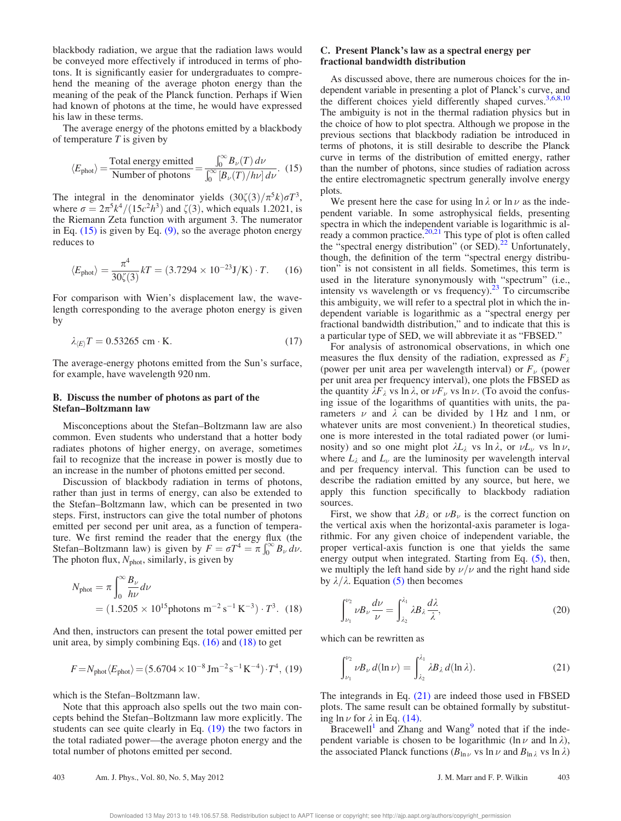<span id="page-5-4"></span><span id="page-5-0"></span>blackbody radiation, we argue that the radiation laws would be conveyed more effectively if introduced in terms of photons. It is significantly easier for undergraduates to comprehend the meaning of the average photon energy than the meaning of the peak of the Planck function. Perhaps if Wien had known of photons at the time, he would have expressed his law in these terms.

The average energy of the photons emitted by a blackbody of temperature  $T$  is given by

$$
\langle E_{\text{phot}} \rangle = \frac{\text{Total energy emitted}}{\text{Number of photons}} = \frac{\int_0^\infty B_\nu(T) \, d\nu}{\int_0^\infty [B_\nu(T)/h\nu] \, d\nu}.
$$
 (15)

The integral in the denominator yields  $(30\zeta(3)/\pi^5k)\sigma T^3$ , where  $\sigma = 2\pi^5 k^4/(15c^2h^3)$  and  $\zeta(3)$ , which equals 1.2021, is the Riemann Zeta function with argument 3. The numerator in Eq.  $(15)$  is given by Eq.  $(9)$ , so the average photon energy reduces to

$$
\langle E_{\text{phot}} \rangle = \frac{\pi^4}{30\zeta(3)} kT = (3.7294 \times 10^{-23} \text{J/K}) \cdot T. \quad (16)
$$

<span id="page-5-1"></span>For comparison with Wien's displacement law, the wavelength corresponding to the average photon energy is given by

$$
\lambda_{\langle E \rangle} T = 0.53265 \text{ cm} \cdot \text{K}.\tag{17}
$$

<span id="page-5-3"></span><span id="page-5-2"></span>The average-energy photons emitted from the Sun's surface, for example, have wavelength 920 nm.

#### B. Discuss the number of photons as part of the Stefan–Boltzmann law

Misconceptions about the Stefan–Boltzmann law are also common. Even students who understand that a hotter body radiates photons of higher energy, on average, sometimes fail to recognize that the increase in power is mostly due to an increase in the number of photons emitted per second.

Discussion of blackbody radiation in terms of photons, rather than just in terms of energy, can also be extended to the Stefan–Boltzmann law, which can be presented in two steps. First, instructors can give the total number of photons emitted per second per unit area, as a function of temperature. We first remind the reader that the energy flux (the Stefan–Boltzmann law) is given by  $F = \sigma T^4 = \pi \int_0^\infty B_\nu \, d\nu$ . The photon flux,  $N_{phot}$ , similarly, is given by

$$
N_{\text{phot}} = \pi \int_0^\infty \frac{B_\nu}{h\nu} d\nu
$$
  
= (1.5205 × 10<sup>15</sup> photons m<sup>-2</sup> s<sup>-1</sup> K<sup>-3</sup>) · T<sup>3</sup>. (18)

And then, instructors can present the total power emitted per unit area, by simply combining Eqs.  $(16)$  and  $(18)$  to get

$$
F = N_{\text{phot}} \langle E_{\text{phot}} \rangle = (5.6704 \times 10^{-8} \,\text{Jm}^{-2} \,\text{s}^{-1} \,\text{K}^{-4}) \cdot T^4, \,(19)
$$

which is the Stefan–Boltzmann law.

Note that this approach also spells out the two main concepts behind the Stefan–Boltzmann law more explicitly. The students can see quite clearly in Eq. [\(19\)](#page-5-2) the two factors in the total radiated power—the average photon energy and the total number of photons emitted per second.

#### C. Present Planck's law as a spectral energy per fractional bandwidth distribution

As discussed above, there are numerous choices for the independent variable in presenting a plot of Planck's curve, and the different choices yield differently shaped curves.  $3,6,8,10$ The ambiguity is not in the thermal radiation physics but in the choice of how to plot spectra. Although we propose in the previous sections that blackbody radiation be introduced in terms of photons, it is still desirable to describe the Planck curve in terms of the distribution of emitted energy, rather than the number of photons, since studies of radiation across the entire electromagnetic spectrum generally involve energy plots.

We present here the case for using  $\ln \lambda$  or  $\ln \nu$  as the independent variable. In some astrophysical fields, presenting spectra in which the independent variable is logarithmic is al-ready a common practice.<sup>[20](#page-7-10),[21](#page-7-11)</sup> This type of plot is often called the "spectral energy distribution" (or SED).<sup>[22](#page-7-12)</sup> Unfortunately, though, the definition of the term "spectral energy distribution" is not consistent in all fields. Sometimes, this term is used in the literature synonymously with "spectrum" (i.e., intensity vs wavelength or vs frequency). $^{23}$  $^{23}$  $^{23}$  To circumscribe this ambiguity, we will refer to a spectral plot in which the independent variable is logarithmic as a "spectral energy per fractional bandwidth distribution," and to indicate that this is a particular type of SED, we will abbreviate it as "FBSED."

For analysis of astronomical observations, in which one measures the flux density of the radiation, expressed as  $F_{\lambda}$ (power per unit area per wavelength interval) or  $F_{\nu}$  (power per unit area per frequency interval), one plots the FBSED as the quantity  $\lambda F_{\lambda}$  vs ln  $\lambda$ , or  $\nu F_{\nu}$  vs ln  $\nu$ . (To avoid the confusing issue of the logarithms of quantities with units, the parameters  $\nu$  and  $\lambda$  can be divided by 1 Hz and 1 nm, or whatever units are most convenient.) In theoretical studies, one is more interested in the total radiated power (or luminosity) and so one might plot  $\lambda L_{\lambda}$  vs  $\ln \lambda$ , or  $\nu L_{\nu}$  vs  $\ln \nu$ , where  $L_{\lambda}$  and  $L_{\nu}$  are the luminosity per wavelength interval and per frequency interval. This function can be used to describe the radiation emitted by any source, but here, we apply this function specifically to blackbody radiation sources.

First, we show that  $\lambda B_{\lambda}$  or  $\nu B_{\nu}$  is the correct function on the vertical axis when the horizontal-axis parameter is logarithmic. For any given choice of independent variable, the proper vertical-axis function is one that yields the same energy output when integrated. Starting from Eq. [\(5\),](#page-3-0) then, we multiply the left hand side by  $\nu/\nu$  and the right hand side by  $\lambda/\lambda$ . Equation [\(5\)](#page-3-0) then becomes

$$
\int_{\nu_1}^{\nu_2} \nu B_\nu \frac{d\nu}{\nu} = \int_{\lambda_2}^{\lambda_1} \lambda B_\lambda \frac{d\lambda}{\lambda},\tag{20}
$$

which can be rewritten as

$$
\int_{\nu_1}^{\nu_2} \nu B_\nu \, d(\ln \nu) = \int_{\lambda_2}^{\lambda_1} \lambda B_\lambda \, d(\ln \lambda). \tag{21}
$$

The integrands in Eq. [\(21\)](#page-5-3) are indeed those used in FBSED plots. The same result can be obtained formally by substituting ln  $\nu$  for  $\lambda$  in Eq. [\(14\)](#page-4-1).

Bracewell<sup>[1](#page-7-1)</sup> and Zhang and Wang<sup>[9](#page-7-1)</sup> noted that if the independent variable is chosen to be logarithmic (ln  $\nu$  and ln  $\lambda$ ), the associated Planck functions ( $B_{\ln \nu}$  vs  $\ln \nu$  and  $B_{\ln \lambda}$  vs  $\ln \lambda$ )

403 Am. J. Phys., Vol. 80, No. 5, May 2012 **America** American Structure 103 J. M. Marr and F. P. Wilkin 403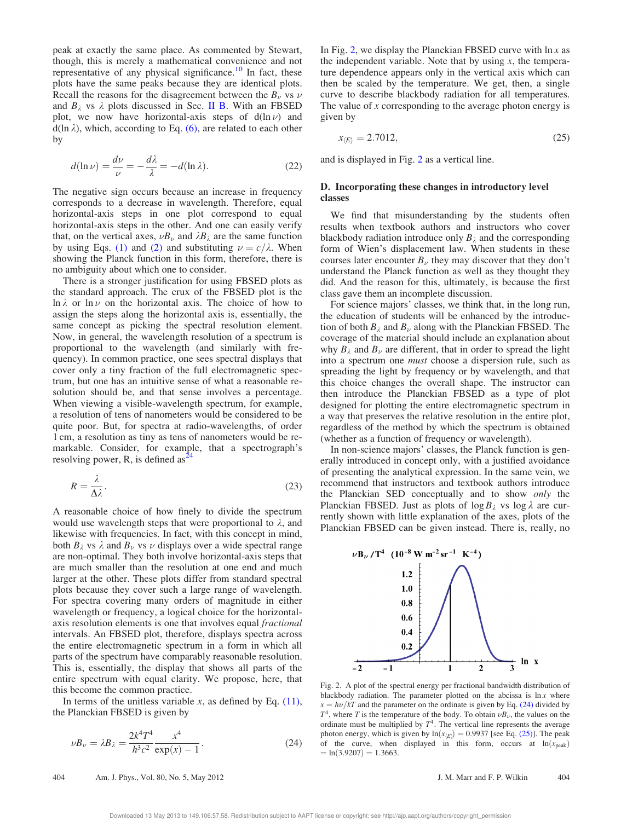<span id="page-6-2"></span>peak at exactly the same place. As commented by Stewart, though, this is merely a mathematical convenience and not representative of any physical significance.<sup>[10](#page-7-1)</sup> In fact, these plots have the same peaks because they are identical plots. Recall the reasons for the disagreement between the  $B_{\nu}$  vs  $\nu$ and  $B_{\lambda}$  vs  $\lambda$  plots discussed in Sec. [II B.](#page-2-1) With an FBSED plot, we now have horizontal-axis steps of  $d(ln \nu)$  and  $d(\ln \lambda)$ , which, according to Eq. [\(6\),](#page-3-6) are related to each other by

$$
d(\ln \nu) = \frac{d\nu}{\nu} = -\frac{d\lambda}{\lambda} = -d(\ln \lambda). \tag{22}
$$

The negative sign occurs because an increase in frequency corresponds to a decrease in wavelength. Therefore, equal horizontal-axis steps in one plot correspond to equal horizontal-axis steps in the other. And one can easily verify that, on the vertical axes,  $\nu B_{\nu}$  and  $\lambda B_{\lambda}$  are the same function by using Eqs. [\(1\)](#page-1-1) and [\(2\)](#page-1-2) and substituting  $\nu = c/\lambda$ . When showing the Planck function in this form, therefore, there is no ambiguity about which one to consider.

There is a stronger justification for using FBSED plots as the standard approach. The crux of the FBSED plot is the  $\ln \lambda$  or  $\ln \nu$  on the horizontal axis. The choice of how to assign the steps along the horizontal axis is, essentially, the same concept as picking the spectral resolution element. Now, in general, the wavelength resolution of a spectrum is proportional to the wavelength (and similarly with frequency). In common practice, one sees spectral displays that cover only a tiny fraction of the full electromagnetic spectrum, but one has an intuitive sense of what a reasonable resolution should be, and that sense involves a percentage. When viewing a visible-wavelength spectrum, for example, a resolution of tens of nanometers would be considered to be quite poor. But, for spectra at radio-wavelengths, of order 1 cm, a resolution as tiny as tens of nanometers would be remarkable. Consider, for example, that a spectrograph's resolving power, R, is defined as<sup>2</sup>

<span id="page-6-1"></span><span id="page-6-0"></span>
$$
R = \frac{\lambda}{\Delta\lambda}.\tag{23}
$$

A reasonable choice of how finely to divide the spectrum would use wavelength steps that were proportional to  $\lambda$ , and likewise with frequencies. In fact, with this concept in mind, both  $B_\lambda$  vs  $\lambda$  and  $B_\nu$  vs  $\nu$  displays over a wide spectral range are non-optimal. They both involve horizontal-axis steps that are much smaller than the resolution at one end and much larger at the other. These plots differ from standard spectral plots because they cover such a large range of wavelength. For spectra covering many orders of magnitude in either wavelength or frequency, a logical choice for the horizontalaxis resolution elements is one that involves equal *fractional* intervals. An FBSED plot, therefore, displays spectra across the entire electromagnetic spectrum in a form in which all parts of the spectrum have comparably reasonable resolution. This is, essentially, the display that shows all parts of the entire spectrum with equal clarity. We propose, here, that this become the common practice.

In terms of the unitless variable x, as defined by Eq.  $(11)$ , the Planckian FBSED is given by

$$
\nu B_{\nu} = \lambda B_{\lambda} = \frac{2k^4 T^4}{h^3 c^2} \frac{x^4}{\exp(x) - 1}.
$$
 (24)

In Fig. [2](#page-6-0), we display the Planckian FBSED curve with  $\ln x$  as the independent variable. Note that by using  $x$ , the temperature dependence appears only in the vertical axis which can then be scaled by the temperature. We get, then, a single curve to describe blackbody radiation for all temperatures. The value of x corresponding to the average photon energy is given by

$$
x_{\langle E \rangle} = 2.7012, \tag{25}
$$

and is displayed in Fig. [2](#page-6-0) as a vertical line.

#### D. Incorporating these changes in introductory level classes

We find that misunderstanding by the students often results when textbook authors and instructors who cover blackbody radiation introduce only  $B_{\lambda}$  and the corresponding form of Wien's displacement law. When students in these courses later encounter  $B_{\nu}$  they may discover that they don't understand the Planck function as well as they thought they did. And the reason for this, ultimately, is because the first class gave them an incomplete discussion.

For science majors' classes, we think that, in the long run, the education of students will be enhanced by the introduction of both  $B_\lambda$  and  $B_\nu$  along with the Planckian FBSED. The coverage of the material should include an explanation about why  $B_{\lambda}$  and  $B_{\nu}$  are different, that in order to spread the light into a spectrum one must choose a dispersion rule, such as spreading the light by frequency or by wavelength, and that this choice changes the overall shape. The instructor can then introduce the Planckian FBSED as a type of plot designed for plotting the entire electromagnetic spectrum in a way that preserves the relative resolution in the entire plot, regardless of the method by which the spectrum is obtained (whether as a function of frequency or wavelength).

In non-science majors' classes, the Planck function is generally introduced in concept only, with a justified avoidance of presenting the analytical expression. In the same vein, we recommend that instructors and textbook authors introduce the Planckian SED conceptually and to show only the Planckian FBSED. Just as plots of  $\log B_\lambda$  vs  $\log \lambda$  are currently shown with little explanation of the axes, plots of the Planckian FBSED can be given instead. There is, really, no



Fig. 2. A plot of the spectral energy per fractional bandwidth distribution of blackbody radiation. The parameter plotted on the abcissa is  $\ln x$  where  $x = h\nu/kT$  and the parameter on the ordinate is given by Eq. [\(24\)](#page-6-1) divided by  $T^4$ , where T is the temperature of the body. To obtain  $\nu B_{\nu}$ , the values on the ordinate must be multiplied by  $T<sup>4</sup>$ . The vertical line represents the average photon energy, which is given by  $ln(x_{\text{E}}) = 0.9937$  [see Eq. [\(25\)](#page-6-2)]. The peak of the curve, when displayed in this form, occurs at  $ln(x_{peak})$  $=$  ln(3.9207) = 1.3663.